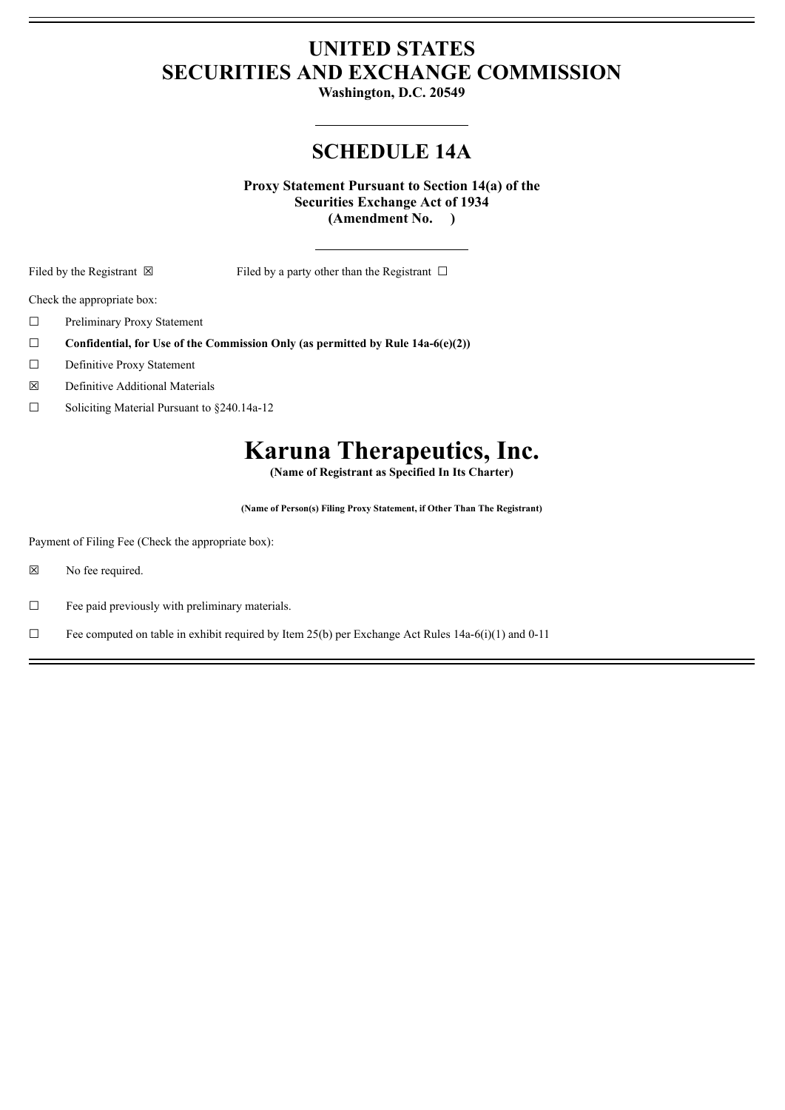## **UNITED STATES SECURITIES AND EXCHANGE COMMISSION**

**Washington, D.C. 20549**

## **SCHEDULE 14A**

**Proxy Statement Pursuant to Section 14(a) of the Securities Exchange Act of 1934 (Amendment No. )**

Filed by the Registrant  $\boxtimes$  Filed by a party other than the Registrant  $\Box$ 

Check the appropriate box:

- ☐ Preliminary Proxy Statement
- ☐ **Confidential, for Use of the Commission Only (as permitted by Rule 14a-6(e)(2))**
- ☐ Definitive Proxy Statement
- ☒ Definitive Additional Materials
- ☐ Soliciting Material Pursuant to §240.14a-12

# **Karuna Therapeutics, Inc.**

**(Name of Registrant as Specified In Its Charter)**

**(Name of Person(s) Filing Proxy Statement, if Other Than The Registrant)**

Payment of Filing Fee (Check the appropriate box):

☒ No fee required.

 $\Box$  Fee paid previously with preliminary materials.

 $\Box$  Fee computed on table in exhibit required by Item 25(b) per Exchange Act Rules 14a-6(i)(1) and 0-11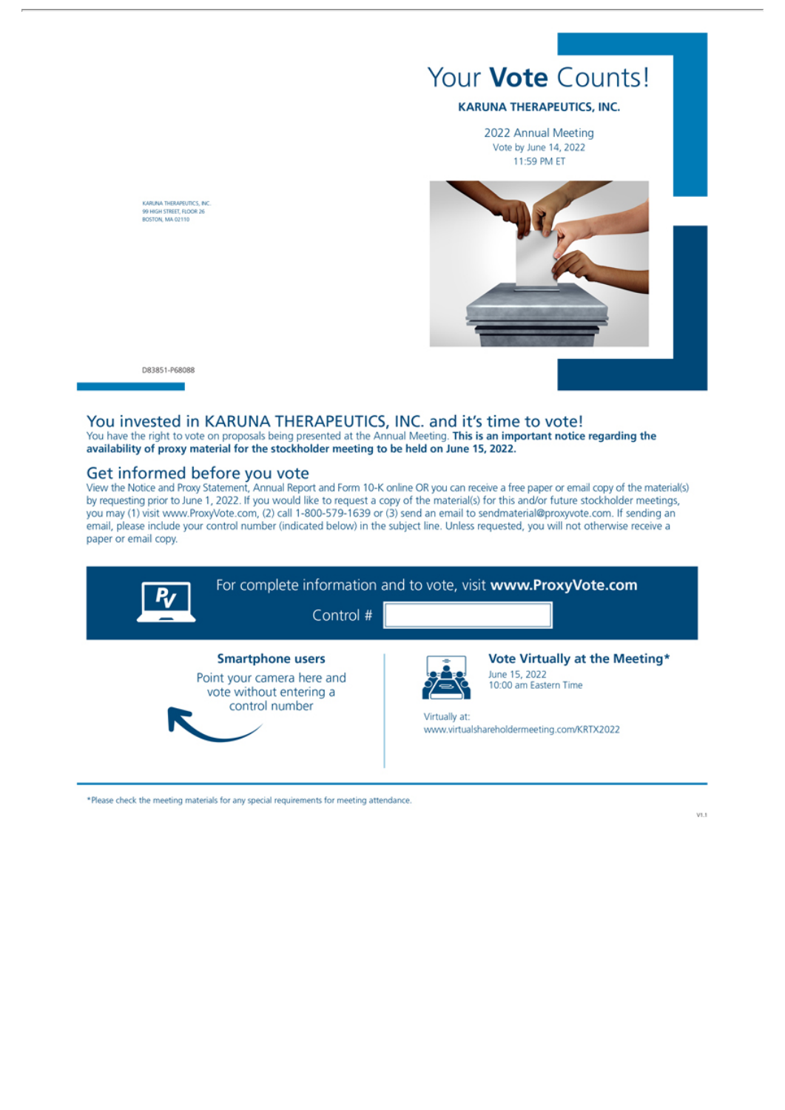

KARUNA THERAPEUTICS, INC<br>99 HIGH STREET, FLOOR 26<br>BOSTON, MA 02110

D83851-P68088

#### You invested in KARUNA THERAPEUTICS, INC. and it's time to vote!

You have the right to vote on proposals being presented at the Annual Meeting. This is an important notice regarding the availability of proxy material for the stockholder meeting to be held on June 15, 2022.

#### Get informed before you vote

View the Notice and Proxy Statement, Annual Report and Form 10-K online OR you can receive a free paper or email copy of the material(s) by requesting prior to June 1, 2022. If you would like to request a copy of the material(s) for this and/or future stockholder meetings, you may (1) visit www.ProxyVote.com, (2) call 1-800-579-1639 or (3) send an email to sendmaterial@proxyvote.com. If sending an email, please include your control number (indicated below) in the subject line. Unless requested, you will not otherwise receive a paper or email copy.



\*Please check the meeting materials for any special requirements for meeting attendance.